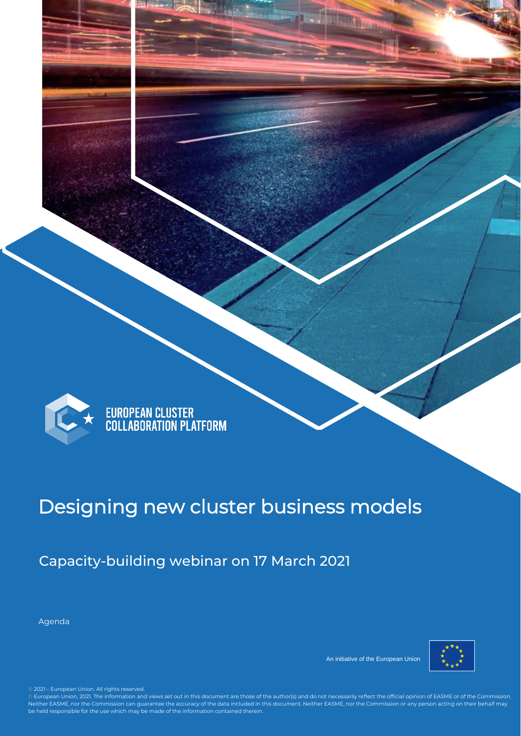

This is the descriptiv

# EUROPEAN CLUSTER<br>COLLABORATION PLATFORM

e for any additional info for the form of the form of the form of the form of the form of the form of the form

# Designing new cluster business models

Capacity-building webinar on 17 March 2021

Agenda



An initiative of the European Union

EASME or of the Commission. Neither EASME, nor the Commission can guarantee the accuracy of the data included in this document. Neither EASME, nor the © 2021 – European Union. All rights reserved.

© 2021 – European Union. All rights reserved.<br>© European Union, 2021. The information and views set out in this document are those of the author(s) and do not necessarily reflect the official opinion of EASME or of the Com Neither EASME, nor the Commission can guarantee the accuracy of the data included in this document. Neither EASME, nor the Commission or any person acting on their behalf may be held responsible for the use which may be made of the information contained therein.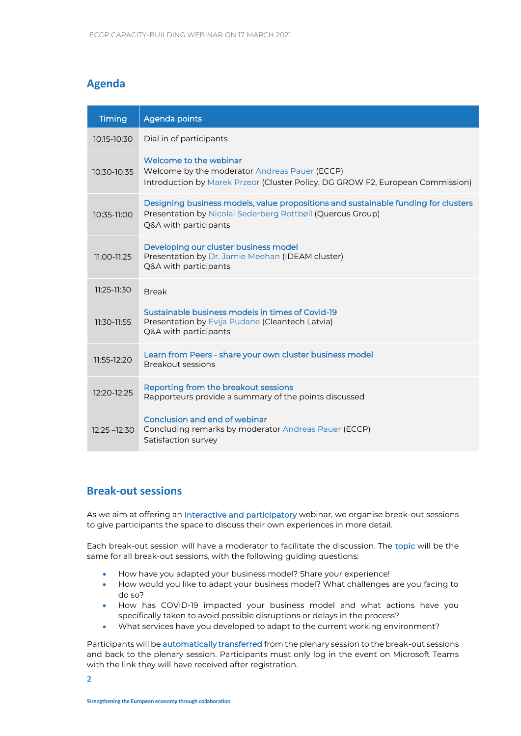### **Agenda**

| <b>Timing</b>   | Agenda points                                                                                                                                                             |
|-----------------|---------------------------------------------------------------------------------------------------------------------------------------------------------------------------|
| $10:15 - 10:30$ | Dial in of participants                                                                                                                                                   |
| 10:30-10:35     | Welcome to the webinar<br>Welcome by the moderator Andreas Pauer (ECCP)<br>Introduction by Marek Przeor (Cluster Policy, DG GROW F2, European Commission)                 |
| 10:35-11:00     | Designing business models, value propositions and sustainable funding for clusters<br>Presentation by Nicolai Sederberg Rottbøll (Quercus Group)<br>Q&A with participants |
| 11:00-11:25     | Developing our cluster business model<br>Presentation by Dr. Jamie Meehan (IDEAM cluster)<br>Q&A with participants                                                        |
| $11:25-11:30$   | <b>Break</b>                                                                                                                                                              |
| $11:30-11:55$   | Sustainable business models in times of Covid-19<br>Presentation by Evija Pudane (Cleantech Latvia)<br>Q&A with participants                                              |
| 11:55-12:20     | Learn from Peers - share your own cluster business model<br><b>Breakout sessions</b>                                                                                      |
| $12:20-12:25$   | Reporting from the breakout sessions<br>Rapporteurs provide a summary of the points discussed                                                                             |
| $12:25 - 12:30$ | Conclusion and end of webinar<br>Concluding remarks by moderator Andreas Pauer (ECCP)<br>Satisfaction survey                                                              |

#### **Break-out sessions**

As we aim at offering an interactive and participatory webinar, we organise break-out sessions to give participants the space to discuss their own experiences in more detail.

Each break-out session will have a moderator to facilitate the discussion. The topic will be the same for all break-out sessions, with the following guiding questions:

- How have you adapted your business model? Share your experience!
- How would you like to adapt your business model? What challenges are you facing to do so?
- How has COVID-19 impacted your business model and what actions have you specifically taken to avoid possible disruptions or delays in the process?
- What services have you developed to adapt to the current working environment?

Participants will be automatically transferred from the plenary session to the break-out sessions and back to the plenary session. Participants must only log in the event on Microsoft Teams with the link they will have received after registration.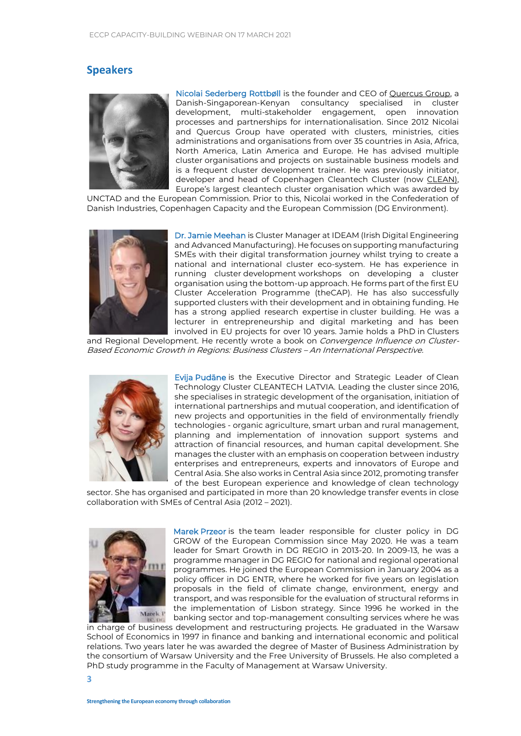#### **Speakers**



Nicolai Sederberg Rottbøll is the founder and CEO of [Quercus Group,](https://quercus-group.com/) a Danish-Singaporean-Kenyan consultancy specialised in cluster development, multi-stakeholder engagement, open innovation processes and partnerships for internationalisation. Since 2012 Nicolai and Quercus Group have operated with clusters, ministries, cities administrations and organisations from over 35 countries in Asia, Africa, North America, Latin America and Europe. He has advised multiple cluster organisations and projects on sustainable business models and is a frequent cluster development trainer. He was previously initiator, developer and head of Copenhagen Cleantech Cluster (now [CLEAN\)](https://www.cleancluster.dk/), Europe's largest cleantech cluster organisation which was awarded by

UNCTAD and the European Commission. Prior to this, Nicolai worked in the Confederation of Danish Industries, Copenhagen Capacity and the European Commission (DG Environment).



Dr. Jamie Meehan is Cluster Manager at IDEAM (Irish Digital Engineering and Advanced Manufacturing). He focuses on supporting manufacturing SMEs with their digital transformation journey whilst trying to create a national and international cluster eco-system. He has experience in running cluster development workshops on developing a cluster organisation using the bottom-up approach. He forms part of the first EU Cluster Acceleration Programme (theCAP). He has also successfully supported clusters with their development and in obtaining funding. He has a strong applied research expertise in cluster building. He was a lecturer in entrepreneurship and digital marketing and has been involved in EU projects for over 10 years. Jamie holds a PhD in Clusters

and Regional Development. He recently wrote a book on Convergence Influence on Cluster-Based Economic Growth in Regions: Business Clusters – An International Perspective.



Evija Pudāne is the Executive Director and Strategic Leader of Clean Technology Cluster CLEANTECH LATVIA. Leading the cluster since 2016, she specialises in strategic development of the organisation, initiation of international partnerships and mutual cooperation, and identification of new projects and opportunities in the field of environmentally friendly technologies - organic agriculture, smart urban and rural management, planning and implementation of innovation support systems and attraction of financial resources, and human capital development. She manages the cluster with an emphasis on cooperation between industry enterprises and entrepreneurs, experts and innovators of Europe and Central Asia. She also works in Central Asia since 2012, promoting transfer of the best European experience and knowledge of clean technology

sector. She has organised and participated in more than 20 knowledge transfer events in close collaboration with SMEs of Central Asia (2012 – 2021).



Marek Przeor is the team leader responsible for cluster policy in DG GROW of the European Commission since May 2020. He was a team leader for Smart Growth in DG REGIO in 2013-20. In 2009-13, he was a programme manager in DG REGIO for national and regional operational programmes. He joined the European Commission in January 2004 as a policy officer in DG ENTR, where he worked for five years on legislation proposals in the field of climate change, environment, energy and transport, and was responsible for the evaluation of structural reforms in the implementation of Lisbon strategy. Since 1996 he worked in the banking sector and top-management consulting services where he was

in charge of business development and restructuring projects. He graduated in the Warsaw School of Economics in 1997 in finance and banking and international economic and political relations. Two years later he was awarded the degree of Master of Business Administration by the consortium of Warsaw University and the Free University of Brussels. He also completed a PhD study programme in the Faculty of Management at Warsaw University.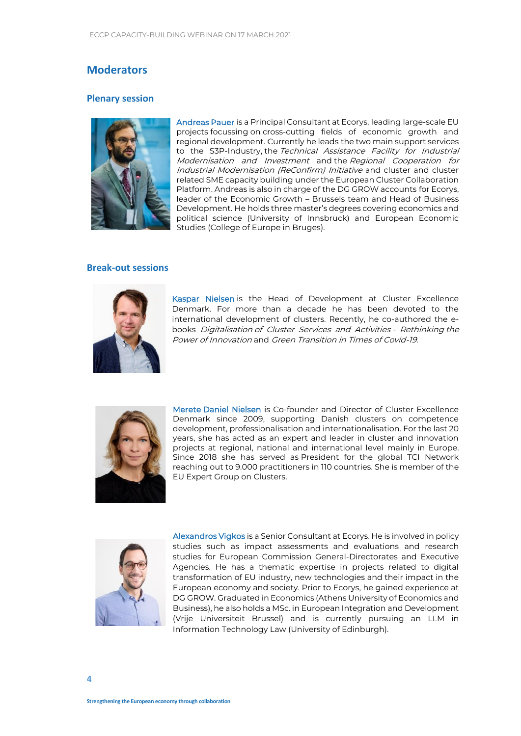#### **Moderators**

#### **Plenary session**



Andreas Pauer is a Principal Consultant at Ecorys, leading large-scale EU projects focussing on cross-cutting fields of economic growth and regional development. Currently he leads the two main support services to the S3P-Industry, the Technical Assistance Facility for Industrial Modernisation and Investment and the Regional Cooperation for Industrial Modernisation (ReConfirm) Initiative and cluster and cluster related SME capacity building under the European Cluster Collaboration Platform. Andreas is also in charge of the DG GROW accounts for Ecorys, leader of the Economic Growth – Brussels team and Head of Business Development. He holds three master's degrees covering economics and political science (University of Innsbruck) and European Economic Studies (College of Europe in Bruges).

#### **Break-out sessions**



Kaspar Nielsen is the Head of Development at Cluster Excellence Denmark. For more than a decade he has been devoted to the international development of clusters. Recently, he co-authored the ebooks Digitalisation of Cluster Services and Activities - Rethinking the Power of Innovation and Green Transition in Times of Covid-19.



Merete Daniel Nielsen is Co-founder and Director of Cluster Excellence Denmark since 2009, supporting Danish clusters on competence development, professionalisation and internationalisation. For the last 20 years, she has acted as an expert and leader in cluster and innovation projects at regional, national and international level mainly in Europe. Since 2018 she has served as President for the global TCI Network reaching out to 9.000 practitioners in 110 countries. She is member of the EU Expert Group on Clusters.



Alexandros Vigkos is a Senior Consultant at Ecorys. He is involved in policy studies such as impact assessments and evaluations and research studies for European Commission General-Directorates and Executive Agencies. He has a thematic expertise in projects related to digital transformation of EU industry, new technologies and their impact in the European economy and society. Prior to Ecorys, he gained experience at DG GROW. Graduated in Economics (Athens University of Economics and Business), he also holds a MSc. in European Integration and Development (Vrije Universiteit Brussel) and is currently pursuing an LLM in Information Technology Law (University of Edinburgh).